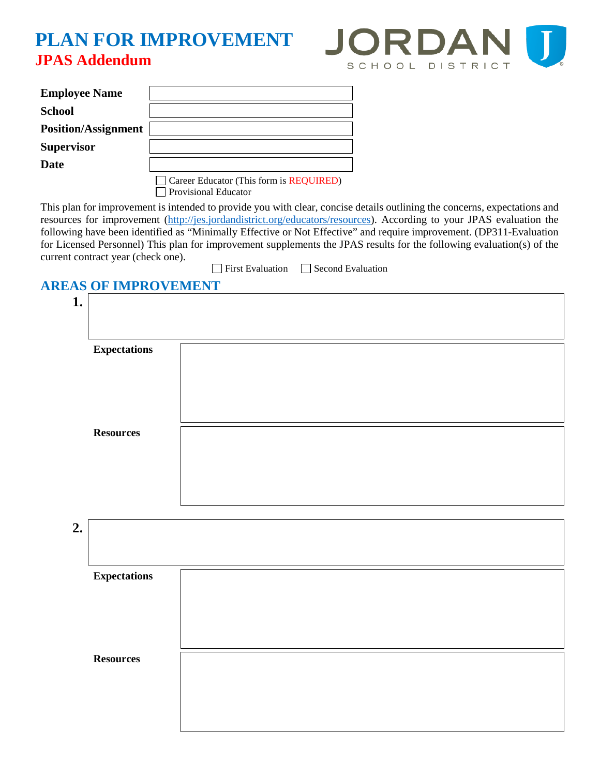## **PLAN FOR IMPROVEMENT JPAS Addendum**



| <b>Employee Name</b>       |                                                                        |
|----------------------------|------------------------------------------------------------------------|
| <b>School</b>              |                                                                        |
| <b>Position/Assignment</b> |                                                                        |
| <b>Supervisor</b>          |                                                                        |
| Date                       |                                                                        |
|                            | Career Educator (This form is REQUIRED)<br><b>Provisional Educator</b> |

This plan for improvement is intended to provide you with clear, concise details outlining the concerns, expectations and resources for improvement [\(http://jes.jordandistrict.org/educators/resources\)](http://jes.jordandistrict.org/educators/resources). According to your JPAS evaluation the following have been identified as "Minimally Effective or Not Effective" and require improvement. (DP311-Evaluation for Licensed Personnel) This plan for improvement supplements the JPAS results for the following evaluation(s) of the current contract year (check one).

|  | $\Box$ First Evaluation |  | $\Box$ Second |
|--|-------------------------|--|---------------|
|--|-------------------------|--|---------------|

## **AREAS OF IMPROVEMENT**

| 1.                  |  |  |  |
|---------------------|--|--|--|
|                     |  |  |  |
| <b>Expectations</b> |  |  |  |
|                     |  |  |  |
|                     |  |  |  |
| <b>Resources</b>    |  |  |  |
|                     |  |  |  |
|                     |  |  |  |
|                     |  |  |  |

**Evaluation** 

| <b>Expectations</b> |                  |
|---------------------|------------------|
|                     |                  |
|                     |                  |
|                     |                  |
|                     |                  |
|                     | <b>Resources</b> |